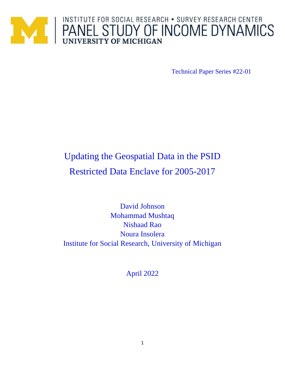

Technical Paper Series #22-01

# Updating the Geospatial Data in the PSID Restricted Data Enclave for 2005-2017

David Johnson Mohammad Mushtaq Nishaad Rao Noura Insolera Institute for Social Research, University of Michigan

April 2022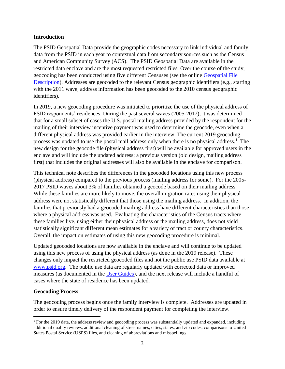#### **Introduction**

The PSID Geospatial Data provide the geographic codes necessary to link individual and family data from the PSID in each year to contextual data from secondary sources such as the Census and American Community Survey (ACS). The PSID Geospatial Data are available in the restricted data enclave and are the most requested restricted files. Over the course of the study, geocoding has been conducted using five different Censuses (see the online [Geospatial](https://simba.isr.umich.edu/restricted/Geospatial.aspx) File [Description\)](https://simba.isr.umich.edu/restricted/Geospatial.aspx). Addresses are geocoded to the relevant Census geographic identifiers (e.g., starting with the 2011 wave, address information has been geocoded to the 2010 census geographic identifiers).

In 2019, a new geocoding procedure was initiated to prioritize the use of the physical address of PSID respondents' residences. During the past several waves (2005-2017), it was determined that for a small subset of cases the U.S. postal mailing address provided by the respondent for the mailing of their interview incentive payment was used to determine the geocode, even when a different physical address was provided earlier in the interview. The current 2019 geocoding process was updated to use the postal mail address only when there is no physical address.<sup>1</sup> The new design for the geocode file (physical address first) will be available for approved users in the enclave and will include the updated address; a previous version (old design, mailing address first) that includes the original addresses will also be available in the enclave for comparison.

This technical note describes the differences in the geocoded locations using this new process (physical address) compared to the previous process (mailing address for some). For the 2005- 2017 PSID waves about 3% of families obtained a geocode based on their mailing address. While these families are more likely to move, the overall migration rates using their physical address were not statistically different that those using the mailing address. In addition, the families that previously had a geocoded mailing address have different characteristics than those where a physical address was used. Evaluating the characteristics of the Census tracts where these families live, using either their physical address or the mailing address, does not yield statistically significant different mean estimates for a variety of tract or county characteristics. Overall, the impact on estimates of using this new geocoding procedure is minimal.

Updated geocoded locations are now available in the enclave and will continue to be updated using this new process of using the physical address (as done in the 2019 release). These changes only impact the restricted geocoded files and not the public use PSID data available at [www.psid.org.](http://www.psid.org/) The public use data are regularly updated with corrected data or improved measures (as documented in the [User Guides\)](https://psidonline.isr.umich.edu/data/Documentation/UserGuide2019.pdf), and the next release will include a handful of cases where the state of residence has been updated.

# **Geocoding Process**

 $\overline{\phantom{a}}$ 

The geocoding process begins once the family interview is complete. Addresses are updated in order to ensure timely delivery of the respondent payment for completing the interview.

<sup>1</sup> For the 2019 data, the address review and geocoding process was substantially updated and expanded, including additional quality reviews, additional cleaning of street names, cities, states, and zip codes, comparisons to United States Postal Service (USPS) files, and cleaning of abbreviations and misspellings.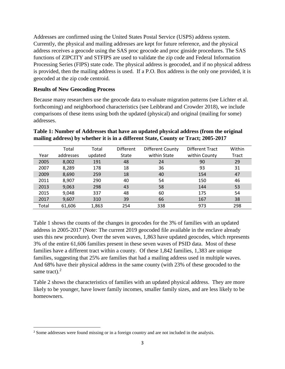Addresses are confirmed using the United States Postal Service (USPS) address system. Currently, the physical and mailing addresses are kept for future reference, and the physical address receives a geocode using the SAS proc geocode and proc ginside procedures. The SAS functions of ZIPCITY and STFIPS are used to validate the zip code and Federal Information Processing Series (FIPS) state code. The physical address is geocoded, and if no physical address is provided, then the mailing address is used. If a P.O. Box address is the only one provided, it is geocoded at the zip code centroid.

### **Results of New Geocoding Process**

 $\overline{\phantom{a}}$ 

Because many researchers use the geocode data to evaluate migration patterns (see Lichter et al. forthcoming) and neighborhood characteristics (see Leibbrand and Crowder 2018), we include comparisons of these items using both the updated (physical) and original (mailing for some) addresses.

# **Table 1: Number of Addresses that have an updated physical address (from the original mailing address) by whether it is in a different State, County or Tract; 2005-2017**

|       | Total     | Total   | Different | Different County | Different Tract | Within |
|-------|-----------|---------|-----------|------------------|-----------------|--------|
| Year  | addresses | updated | State     | within State     | within County   | Tract  |
| 2005  | 8,002     | 191     | 48        | 24               | 90              | 29     |
| 2007  | 8,289     | 178     | 18        | 36               | 93              | 31     |
| 2009  | 8,690     | 259     | 18        | 40               | 154             | 47     |
| 2011  | 8,907     | 290     | 40        | 54               | 150             | 46     |
| 2013  | 9,063     | 298     | 43        | 58               | 144             | 53     |
| 2015  | 9,048     | 337     | 48        | 60               | 175             | 54     |
| 2017  | 9,607     | 310     | 39        | 66               | 167             | 38     |
| Total | 61,606    | 1,863   | 254       | 338              | 973             | 298    |

Table 1 shows the counts of the changes in geocodes for the 3% of families with an updated address in 2005-2017 (Note: The current 2019 geocoded file available in the enclave already uses this new procedure). Over the seven waves, 1,863 have updated geocodes, which represents 3% of the entire 61,606 families present in these seven waves of PSID data. Most of these families have a different tract within a county. Of these 1,842 families, 1,383 are unique families, suggesting that 25% are families that had a mailing address used in multiple waves. And 68% have their physical address in the same county (with 23% of these geocoded to the same tract). $<sup>2</sup>$ </sup>

Table 2 shows the characteristics of families with an updated physical address. They are more likely to be younger, have lower family incomes, smaller family sizes, and are less likely to be homeowners.

<sup>2</sup> Some addresses were found missing or in a foreign country and are not included in the analysis.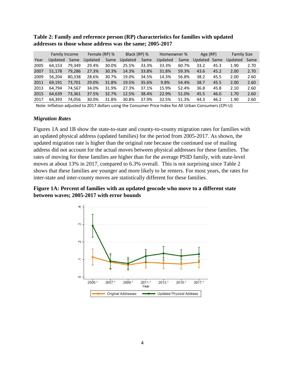|      | <b>Family Income</b> |        | Female (RP) % |       | Black (RP) % |       | Homeowner % |       | Age (RP)     |      | <b>Family Size</b> |      |
|------|----------------------|--------|---------------|-------|--------------|-------|-------------|-------|--------------|------|--------------------|------|
| Year | Updated              | Same   | Updated       | Same  | Updated      | Same  | Updated     | Same  | Updated Same |      | Updated            | Same |
| 2005 | 64.153               | 79.349 | 29.4%         | 30.0% | 25.5%        | 33.3% | 33.3%       | 60.7% | 33.2         | 45.3 | 1.90               | 2.70 |
| 2007 | 51.178               | 79.286 | 27.3%         | 30.3% | 14.3%        | 33.8% | 31.8%       | 59.3% | 43.6         | 45.2 | 2.00               | 2.70 |
| 2009 | 56.204               | 80.338 | 28.6%         | 30.7% | 19.0%        | 34.5% | 14.3%       | 56.8% | 38.2         | 45.5 | 2.00               | 2.60 |
| 2011 | 69.191               | 73.701 | 29.0%         | 31.8% | 19.5%        | 35.6% | 9.8%        | 54.4% | 38.7         | 45.5 | 2.00               | 2.60 |
| 2013 | 64.794               | 74.567 | 34.0%         | 31.9% | 27.3%        | 37.1% | 15.9%       | 52.4% | 36.8         | 45.8 | 2.10               | 2.60 |
| 2015 | 64,639               | 73,361 | 37.5%         | 32.7% | 12.5%        | 38.4% | 22.9%       | 51.0% | 45.5         | 46.0 | 1.70               | 2.60 |
| 2017 | 64.393               | 74.056 | 30.0%         | 31.8% | 30.8%        | 37.9% | 32.5%       | 51.3% | 44.3         | 46.2 | 1.90               | 2.60 |

**Table 2: Family and reference person (RP) characteristics for families with updated addresses to those whose address was the same; 2005-2017**

Note: Inflation adjusted to 2017 dollars using the Consumer Price Index for All Urban Consumers (CPI-U)

#### *Migration Rates*

Figures 1A and 1B show the state-to-state and county-to-county migration rates for families with an updated physical address (updated families) for the period from 2005-2017. As shown, the updated migration rate is higher than the original rate because the continued use of mailing address did not account for the actual moves between physical addresses for these families. The rates of moving for these families are higher than for the average PSID family, with state-level moves at about 13% in 2017, compared to 6.3% overall. This is not surprising since Table 2 shows that these families are younger and more likely to be renters. For most years, the rates for inter-state and inter-county moves are statistically different for these families.

# **Figure 1A: Percent of families with an updated geocode who move to a different state between waves; 2005-2017 with error bounds**

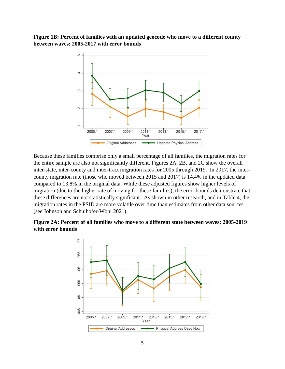## **Figure 1B: Percent of families with an updated geocode who move to a different county between waves; 2005-2017 with error bounds**



Because these families comprise only a small percentage of all families, the migration rates for the entire sample are also not significantly different. Figures 2A, 2B, and 2C show the overall inter-state, inter-county and inter-tract migration rates for 2005 through 2019. In 2017, the intercounty migration rate (those who moved between 2015 and 2017) is 14.4% in the updated data compared to 13.8% in the original data. While these adjusted figures show higher levels of migration (due to the higher rate of moving for these families), the error bounds demonstrate that these differences are not statistically significant. As shown in other research, and in Table 4, the migration rates in the PSID are more volatile over time than estimates from other data sources (see Johnson and Schulhofer-Wohl 2021).

## **Figure 2A: Percent of all families who move to a different state between waves; 2005-2019 with error bounds**

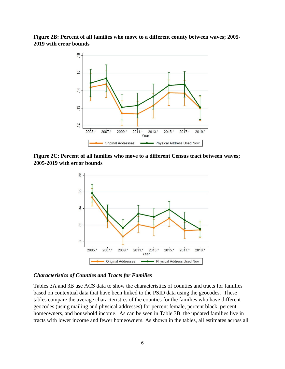**Figure 2B: Percent of all families who move to a different county between waves; 2005- 2019 with error bounds**



**Figure 2C: Percent of all families who move to a different Census tract between waves; 2005-2019 with error bounds**



#### *Characteristics of Counties and Tracts for Families*

Tables 3A and 3B use ACS data to show the characteristics of counties and tracts for families based on contextual data that have been linked to the PSID data using the geocodes. These tables compare the average characteristics of the counties for the families who have different geocodes (using mailing and physical addresses) for percent female, percent black, percent homeowners, and household income. As can be seen in Table 3B, the updated families live in tracts with lower income and fewer homeowners. As shown in the tables, all estimates across all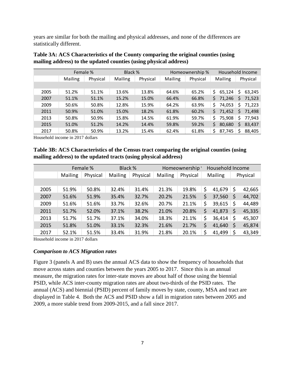years are similar for both the mailing and physical addresses, and none of the differences are statistically different.

|      | Female %       |          | Black % |          | Homeownership % |          |              | Household Income |  |  |
|------|----------------|----------|---------|----------|-----------------|----------|--------------|------------------|--|--|
|      | <b>Mailing</b> | Physical | Mailing | Physical | <b>Mailing</b>  | Physical | Mailing      | Physical         |  |  |
|      |                |          |         |          |                 |          |              |                  |  |  |
| 2005 | 51.2%          | 51.1%    | 13.6%   | 13.8%    | 64.6%           | 65.2%    | 65,124<br>Ŝ. | \$<br>63,245     |  |  |
| 2007 | 51.1%          | 51.1%    | 15.2%   | 15.0%    | 66.4%           | 66.8%    | 71,246<br>Ś. | 71,523<br>S.     |  |  |
| 2009 | 50.6%          | 50.8%    | 12.8%   | 15.9%    | 64.2%           | 63.9%    | 74,053<br>\$ | \$<br>71,223     |  |  |
| 2011 | 50.9%          | 51.0%    | 15.0%   | 18.2%    | 61.8%           | 60.2%    | 71,452<br>Ś. | 71,498<br>S.     |  |  |
| 2013 | 50.8%          | 50.9%    | 15.8%   | 14.5%    | 61.9%           | 59.7%    | 75,908<br>Ś  | 77,943<br>\$     |  |  |
| 2015 | 51.0%          | 51.2%    | 14.2%   | 14.4%    | 59.8%           | 59.2%    | 80,680<br>Ś  | 83,437<br>S.     |  |  |
| 2017 | 50.8%          | 50.9%    | 13.2%   | 15.4%    | 62.4%           | 61.8%    | 87,745<br>Ś  | 88,405           |  |  |

| Table 3A: ACS Characteristics of the County comparing the original counties (using |
|------------------------------------------------------------------------------------|
| mailing address) to the updated counties (using physical address)                  |

Household income in 2017 dollars

### **Table 3B: ACS Characteristics of the Census tract comparing the original counties (using mailing address) to the updated tracts (using physical address)**

|      |                | Female % | Black % |          |                | Homeownership' |    | Household Income |    |          |  |
|------|----------------|----------|---------|----------|----------------|----------------|----|------------------|----|----------|--|
|      | <b>Mailing</b> | Physical | Mailing | Physical | <b>Mailing</b> | Physical       |    | <b>Mailing</b>   |    | Physical |  |
|      |                |          |         |          |                |                |    |                  |    |          |  |
| 2005 | 51.9%          | 50.8%    | 32.4%   | 31.4%    | 21.3%          | 19.8%          | \$ | 41,679           | \$ | 42,665   |  |
| 2007 | 51.6%          | 51.9%    | 35.4%   | 32.7%    | 20.2%          | 21.5%          | S  | 37,560           | S  | 44,702   |  |
| 2009 | 51.6%          | 51.6%    | 33.7%   | 32.6%    | 20.7%          | 21.1%          | \$ | 39,615           | \$ | 44,489   |  |
| 2011 | 51.7%          | 52.0%    | 37.1%   | 38.2%    | 21.0%          | 20.8%          | \$ | 41,873           | \$ | 45,335   |  |
| 2013 | 51.7%          | 51.7%    | 37.1%   | 34.0%    | 18.3%          | 21.1%          | \$ | 36,414           | \$ | 45,307   |  |
| 2015 | 51.8%          | 51.0%    | 33.1%   | 32.3%    | 21.6%          | 21.7%          |    | 41,640           | \$ | 45,874   |  |
| 2017 | 52.1%          | 51.5%    | 33.4%   | 31.9%    | 21.8%          | 20.1%          | \$ | 41,499           |    | 43,349   |  |

Household income in 2017 dollars

#### *Comparison to ACS Migration rates*

Figure 3 (panels A and B) uses the annual ACS data to show the frequency of households that move across states and counties between the years 2005 to 2017. Since this is an annual measure, the migration rates for inter-state moves are about half of those using the biennial PSID, while ACS inter-county migration rates are about two-thirds of the PSID rates. The annual (ACS) and biennial (PSID) percent of family moves by state, county, MSA and tract are displayed in Table 4. Both the ACS and PSID show a fall in migration rates between 2005 and 2009, a more stable trend from 2009-2015, and a fall since 2017.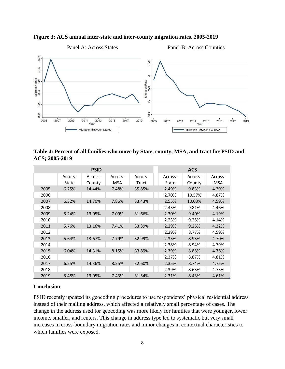



**Table 4: Percent of all families who move by State, county, MSA, and tract for PSID and ACS; 2005-2019**

|      |         | <b>PSID</b> |            |         |         | <b>ACS</b> |            |
|------|---------|-------------|------------|---------|---------|------------|------------|
|      | Across- | Across-     | Across-    | Across- | Across- | Across-    | Across-    |
|      | State   | County      | <b>MSA</b> | Tract   | State   | County     | <b>MSA</b> |
| 2005 | 6.25%   | 14.44%      | 7.48%      | 35.85%  | 2.49%   | 9.83%      | 4.29%      |
| 2006 |         |             |            |         | 2.70%   | 10.57%     | 4.87%      |
| 2007 | 6.32%   | 14.70%      | 7.86%      | 33.43%  | 2.55%   | 10.03%     | 4.59%      |
| 2008 |         |             |            |         | 2.45%   | 9.81%      | 4.46%      |
| 2009 | 5.24%   | 13.05%      | 7.09%      | 31.66%  | 2.30%   | 9.40%      | 4.19%      |
| 2010 |         |             |            |         | 2.23%   | 9.25%      | 4.14%      |
| 2011 | 5.76%   | 13.16%      | 7.41%      | 33.39%  | 2.29%   | 9.25%      | 4.22%      |
| 2012 |         |             |            |         | 2.29%   | 8.77%      | 4.59%      |
| 2013 | 5.64%   | 13.67%      | 7.79%      | 32.99%  | 2.35%   | 8.93%      | 4.70%      |
| 2014 |         |             |            |         | 2.38%   | 8.94%      | 4.79%      |
| 2015 | 6.04%   | 14.31%      | 8.15%      | 33.89%  | 2.39%   | 8.88%      | 4.76%      |
| 2016 |         |             |            |         | 2.37%   | 8.87%      | 4.81%      |
| 2017 | 6.25%   | 14.36%      | 8.25%      | 32.60%  | 2.35%   | 8.74%      | 4.75%      |
| 2018 |         |             |            |         | 2.39%   | 8.63%      | 4.73%      |
| 2019 | 5.48%   | 13.05%      | 7.43%      | 31.54%  | 2.31%   | 8.43%      | 4.61%      |

#### **Conclusion**

PSID recently updated its geocoding procedures to use respondents' physical residential address instead of their mailing address, which affected a relatively small percentage of cases. The change in the address used for geocoding was more likely for families that were younger, lower income, smaller, and renters. This change in address type led to systematic but very small increases in cross-boundary migration rates and minor changes in contextual characteristics to which families were exposed.